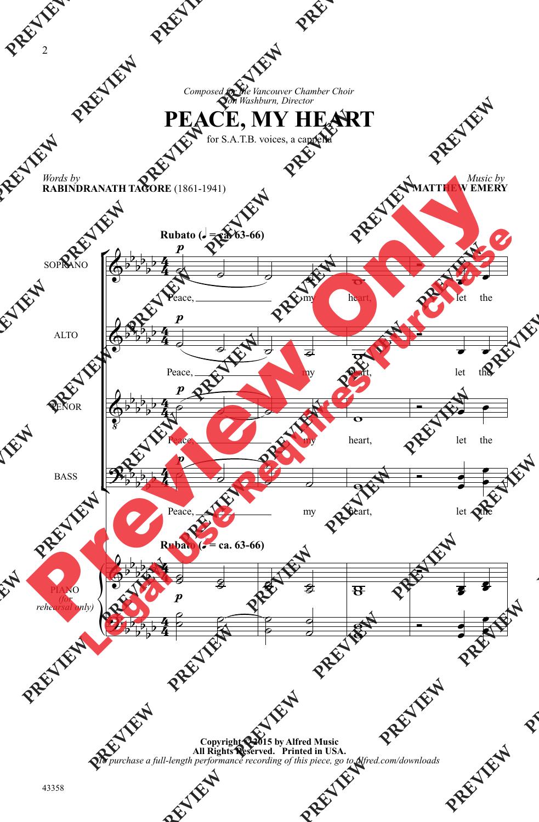*Composed for the Vancouver Chamber Choir Jon Washburn, Director*



for S.A.T.B. voices, a cappella

*Music by*

*Words by*  **RABINDRANATH TAGORE** (1861-1941)



**Copyright © 2015 by Alfred Music All Rights Reserved. Printed in USA.** *To purchase a full-length performance recording of this piece, go to alfred.com/downloads*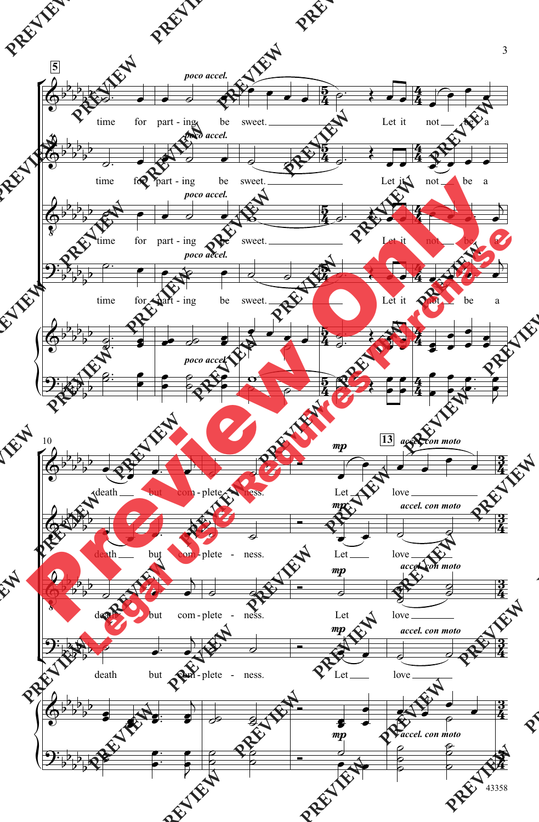

43358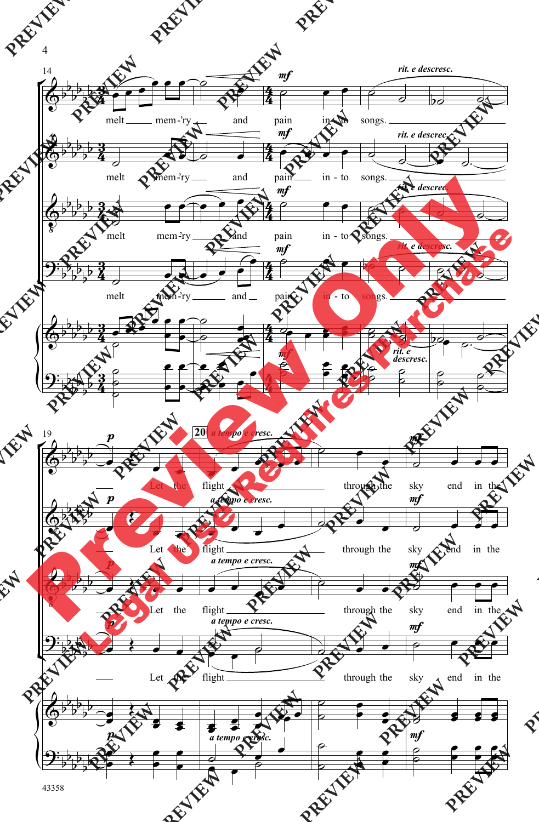

43358

4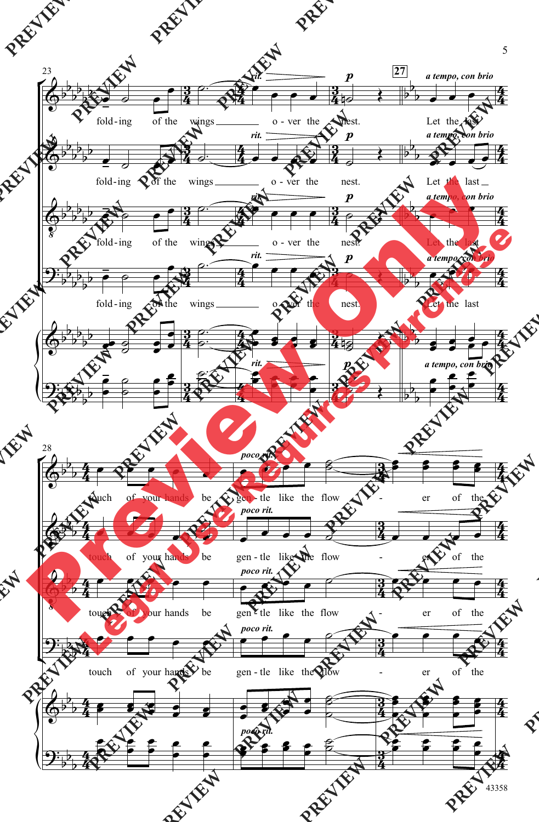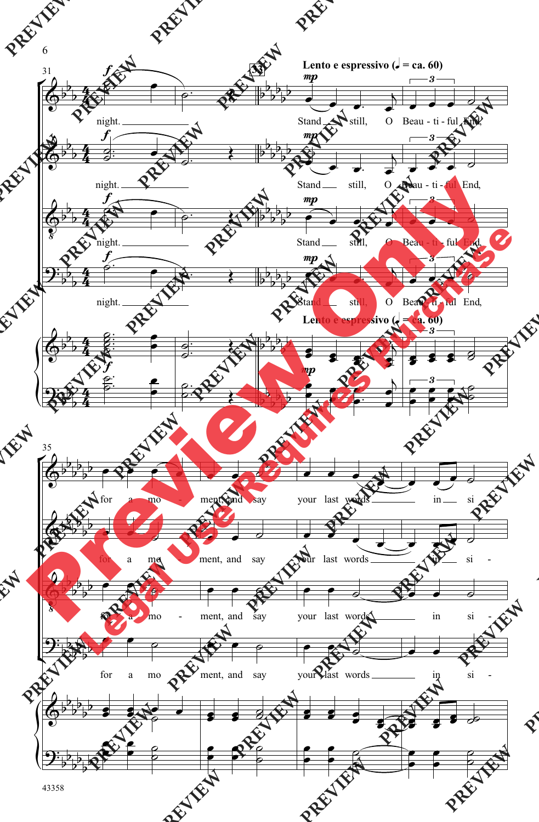